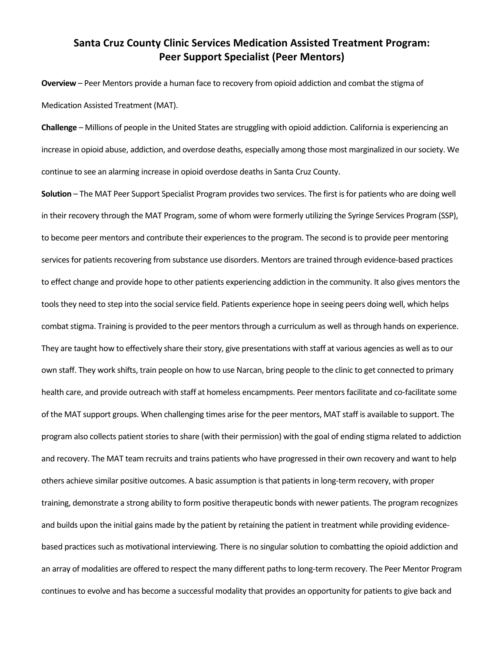## **Santa Cruz County Clinic Services Medication Assisted Treatment Program: Peer Support Specialist (Peer Mentors)**

**Overview** – Peer Mentors provide a human face to recovery from opioid addiction and combat the stigma of Medication Assisted Treatment (MAT).

**Challenge** – Millions of people in the United States are struggling with opioid addiction. California is experiencing an increase in opioid abuse, addiction, and overdose deaths, especially among those most marginalized in our society. We continue to see an alarming increase in opioid overdose deaths in Santa Cruz County.

**Solution** – The MAT Peer Support Specialist Program provides two services. The first isfor patients who are doing well in their recovery through the MAT Program, some of whom were formerly utilizing the Syringe Services Program (SSP), to become peer mentors and contribute their experiences to the program. The second is to provide peer mentoring services for patients recovering from substance use disorders. Mentors are trained through evidence‐based practices to effect change and provide hope to other patients experiencing addiction in the community. It also gives mentors the tools they need to step into the social service field. Patients experience hope in seeing peers doing well, which helps combat stigma. Training is provided to the peer mentors through a curriculum as well as through hands on experience. They are taught how to effectively share their story, give presentations with staff at various agencies as well as to our own staff. They work shifts, train people on how to use Narcan, bring people to the clinic to get connected to primary health care, and provide outreach with staff at homeless encampments. Peer mentors facilitate and co-facilitate some of the MAT support groups. When challenging times arise for the peer mentors, MAT staff is available to support. The program also collects patient stories to share (with their permission) with the goal of ending stigma related to addiction and recovery. The MAT team recruits and trains patients who have progressed in their own recovery and want to help others achieve similar positive outcomes. A basic assumption is that patients in long-term recovery, with proper training, demonstrate a strong ability to form positive therapeutic bonds with newer patients. The program recognizes and builds upon the initial gains made by the patient by retaining the patient in treatment while providing evidencebased practices such as motivational interviewing. There is no singular solution to combatting the opioid addiction and an array of modalities are offered to respect the many different paths to long-term recovery. The Peer Mentor Program continues to evolve and has become a successful modality that provides an opportunity for patients to give back and